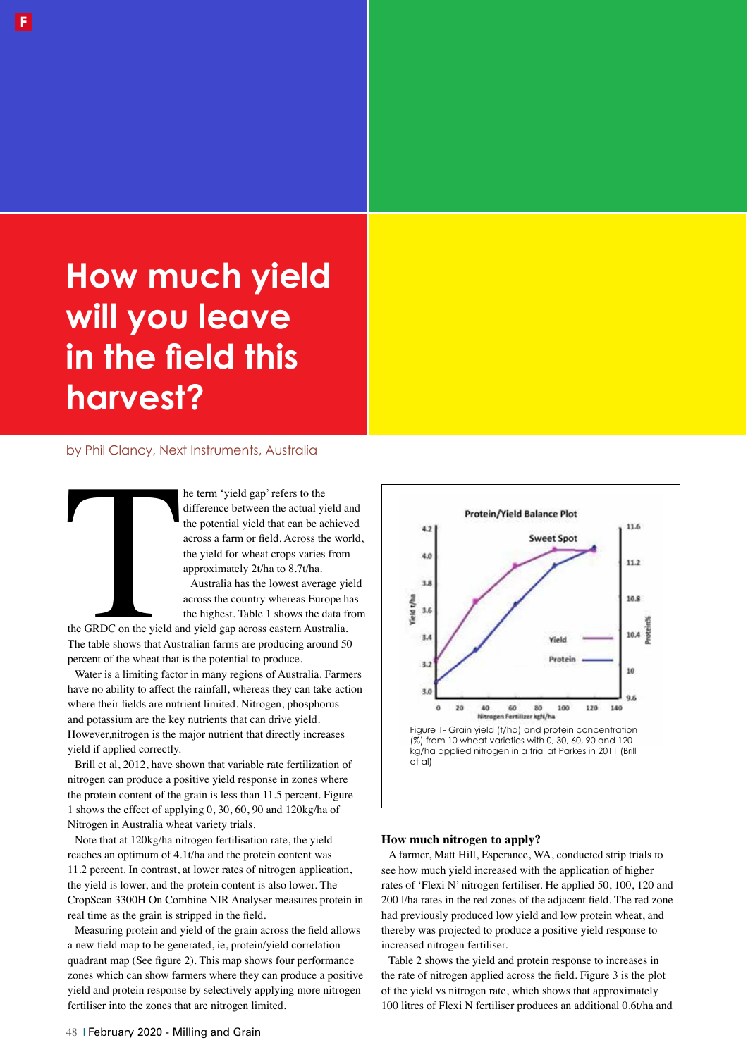# **How much yield will you leave in the field this harvest?**

## by Phil Clancy, Next Instruments, Australia

he term 'yield gap' refers to the difference between the actual yield and the potential yield that can be achieved across a farm or feld. Across the world, the yield for wheat crops varies from approximately 2t/ha to 8.7t/ha.

Australia has the lowest average yield across the country whereas Europe has the highest. Table 1 shows the data from

the GRDC on the yield at<br>The table shows that Aust<br>percent of the wheat that the GRDC on the yield and yield gap across eastern Australia. The table shows that Australian farms are producing around 50 percent of the wheat that is the potential to produce.

Water is a limiting factor in many regions of Australia. Farmers have no ability to affect the rainfall, whereas they can take action where their felds are nutrient limited. Nitrogen, phosphorus and potassium are the key nutrients that can drive yield. However,nitrogen is the major nutrient that directly increases yield if applied correctly.

Brill et al, 2012, have shown that variable rate fertilization of nitrogen can produce a positive yield response in zones where the protein content of the grain is less than 11.5 percent. Figure 1 shows the effect of applying 0, 30, 60, 90 and 120kg/ha of Nitrogen in Australia wheat variety trials.

Note that at 120kg/ha nitrogen fertilisation rate, the yield reaches an optimum of 4.1t/ha and the protein content was 11.2 percent. In contrast, at lower rates of nitrogen application, the yield is lower, and the protein content is also lower. The CropScan 3300H On Combine NIR Analyser measures protein in real time as the grain is stripped in the feld.

Measuring protein and yield of the grain across the feld allows a new feld map to be generated, ie, protein/yield correlation quadrant map (See fgure 2). This map shows four performance zones which can show farmers where they can produce a positive yield and protein response by selectively applying more nitrogen fertiliser into the zones that are nitrogen limited.



### **How much nitrogen to apply?**

A farmer, Matt Hill, Esperance, WA, conducted strip trials to see how much yield increased with the application of higher rates of 'Flexi N' nitrogen fertiliser. He applied 50, 100, 120 and 200 l/ha rates in the red zones of the adjacent feld. The red zone had previously produced low yield and low protein wheat, and thereby was projected to produce a positive yield response to increased nitrogen fertiliser.

Table 2 shows the yield and protein response to increases in the rate of nitrogen applied across the feld. Figure 3 is the plot of the yield vs nitrogen rate, which shows that approximately 100 litres of Flexi N fertiliser produces an additional 0.6t/ha and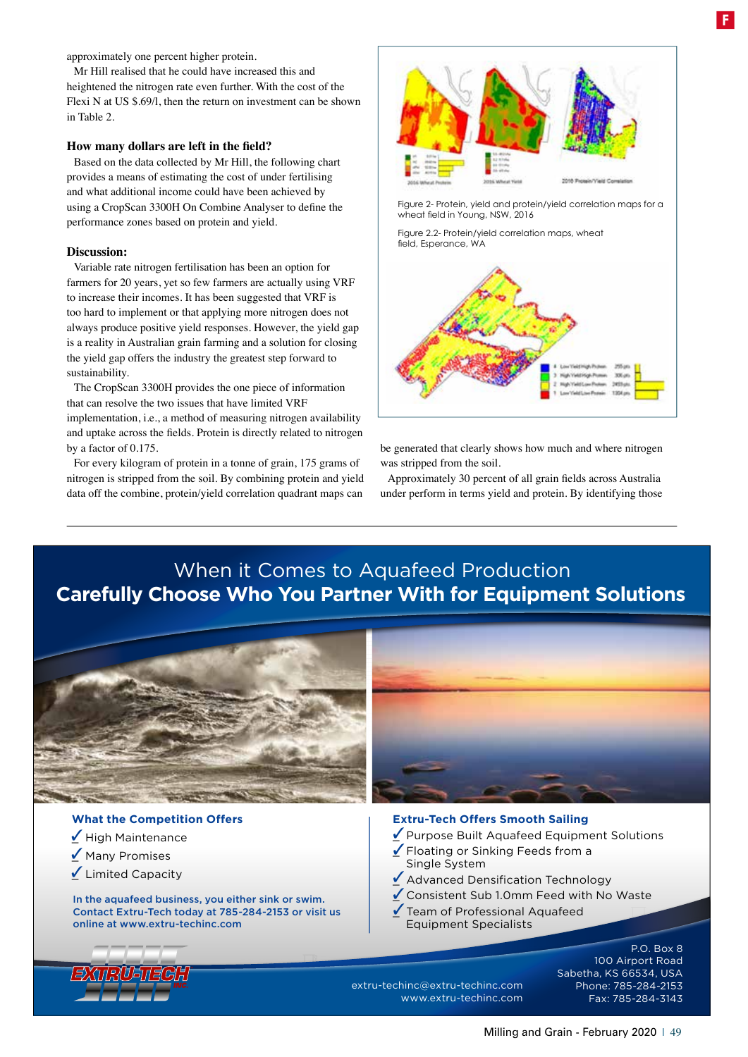approximately one percent higher protein.

Mr Hill realised that he could have increased this and heightened the nitrogen rate even further. With the cost of the Flexi N at US \$.69/l, then the return on investment can be shown in Table 2.

#### **How many dollars are left in the feld?**

Based on the data collected by Mr Hill, the following chart provides a means of estimating the cost of under fertilising and what additional income could have been achieved by using a CropScan 3300H On Combine Analyser to defne the performance zones based on protein and yield.

### **Discussion:**

Variable rate nitrogen fertilisation has been an option for farmers for 20 years, yet so few farmers are actually using VRF to increase their incomes. It has been suggested that VRF is too hard to implement or that applying more nitrogen does not always produce positive yield responses. However, the yield gap is a reality in Australian grain farming and a solution for closing the yield gap offers the industry the greatest step forward to sustainability.

The CropScan 3300H provides the one piece of information that can resolve the two issues that have limited VRF implementation, i.e., a method of measuring nitrogen availability and uptake across the felds. Protein is directly related to nitrogen by a factor of 0.175.

For every kilogram of protein in a tonne of grain, 175 grams of nitrogen is stripped from the soil. By combining protein and yield data off the combine, protein/yield correlation quadrant maps can



Figure 2- Protein, yield and protein/yield correlation maps for a wheat field in Young, NSW, 2016

Figure 2.2- Protein/yield correlation maps, wheat field, Esperance, WA



be generated that clearly shows how much and where nitrogen was stripped from the soil.

Approximately 30 percent of all grain felds across Australia under perform in terms yield and protein. By identifying those

# When it Comes to Aquafeed Production **Carefully Choose Who You Partner With for Equipment Solutions**



# **What the Competition Offers**

- $\angle$  High Maintenance
- Many Promises
- $\angle$  Limited Capacity

In the aquafeed business, you either sink or swim. Contact Extru-Tech today at 785-284-2153 or visit us online at www.extru-techinc.com

#### **Extru-Tech Offers Smooth Sailing**

- Purpose Built Aquafeed Equipment Solutions
- Floating or Sinking Feeds from a Single System  $\sqrt{}$
- ▲ Advanced Densification Technology
- \_ Consistent Sub 1.0mm Feed with No Waste  $\overline{\mathscr{L}}$
- Team of Professional Aquafeed Equipment Specialists  $\overline{\mathscr{L}}$

extru-techinc@extru-techinc.com

www.extru-techinc.com

P.O. Box 8 100 Airport Road Sabetha, KS 66534, USA Phone: 785-284-2153 Fax: 785-284-3143